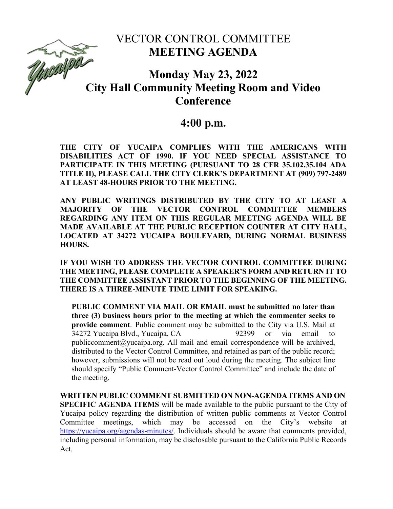## VECTOR CONTROL COMMITTEE **MEETING AGENDA**

# **Monday May 23, 2022 City Hall Community Meeting Room and Video**<br>City Hall Community Meeting Room and Video **Conference**

### **4:00 p.m.**

**THE CITY OF YUCAIPA COMPLIES WITH THE AMERICANS WITH DISABILITIES ACT OF 1990. IF YOU NEED SPECIAL ASSISTANCE TO PARTICIPATE IN THIS MEETING (PURSUANT TO 28 CFR 35.102.35.104 ADA TITLE II), PLEASE CALL THE CITY CLERK'S DEPARTMENT AT (909) 797-2489 AT LEAST 48-HOURS PRIOR TO THE MEETING.**

**ANY PUBLIC WRITINGS DISTRIBUTED BY THE CITY TO AT LEAST A MAJORITY OF THE VECTOR CONTROL COMMITTEE MEMBERS REGARDING ANY ITEM ON THIS REGULAR MEETING AGENDA WILL BE MADE AVAILABLE AT THE PUBLIC RECEPTION COUNTER AT CITY HALL, LOCATED AT 34272 YUCAIPA BOULEVARD, DURING NORMAL BUSINESS HOURS.**

**IF YOU WISH TO ADDRESS THE VECTOR CONTROL COMMITTEE DURING THE MEETING, PLEASE COMPLETE A SPEAKER'S FORM AND RETURN IT TO THE COMMITTEE ASSISTANT PRIOR TO THE BEGINNING OF THE MEETING. THERE IS A THREE-MINUTE TIME LIMIT FOR SPEAKING.**

**PUBLIC COMMENT VIA MAIL OR EMAIL must be submitted no later than three (3) business hours prior to the meeting at which the commenter seeks to provide comment**. Public comment may be submitted to the City via U.S. Mail at 34272 Yucaipa Blvd., Yucaipa, CA 92399 or via email to [publiccomment@yucaipa.org. A](mailto:publiccomment@yucaipa.org)ll mail and email correspondence will be archived, distributed to the Vector Control Committee, and retained as part of the public record; however, submissions will not be read out loud during the meeting. The subject line should specify "Public Comment-Vector Control Committee" and include the date of the meeting.

**WRITTEN PUBLIC COMMENT SUBMITTED ON NON-AGENDA ITEMS AND ON SPECIFIC AGENDA ITEMS** will be made available to the public pursuant to the City of Yucaipa policy regarding the distribution of written public comments at Vector Control Committee meetings, which may be accessed on the City's website [https://yucaipa.org/agendas-minutes/.](https://yucaipa.org/agendas-minutes/) Individuals should be aware that comments provided, including personal information, may be disclosable pursuant to the California Public Records Act.